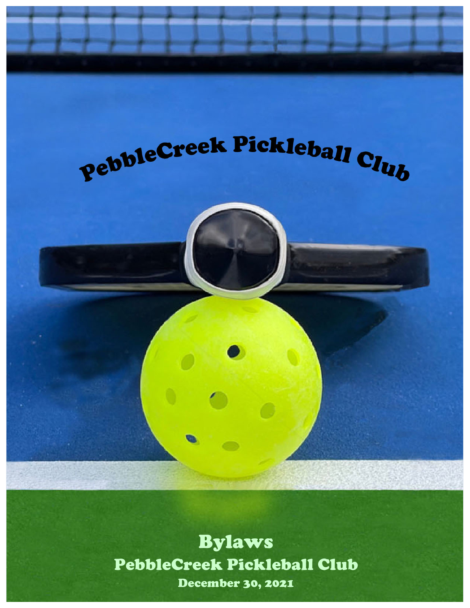

**Proposed American** Bylaws PebbleCreek Pickleball Club December 30, 2021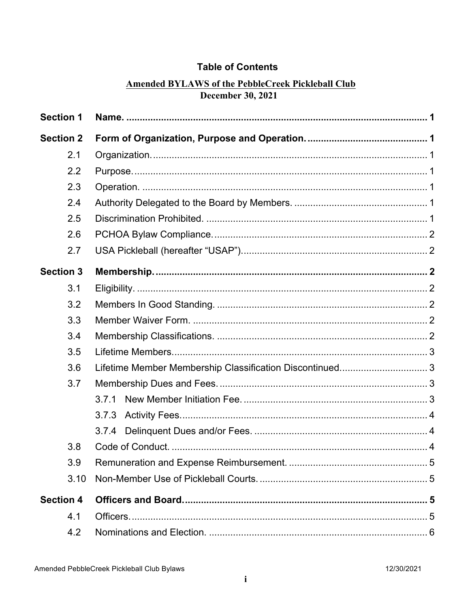# **Table of Contents**

# **Amended BYLAWS of the PebbleCreek Pickleball Club December 30, 2021**

| <b>Section 1</b> |                                                          |  |
|------------------|----------------------------------------------------------|--|
| <b>Section 2</b> |                                                          |  |
| 2.1              |                                                          |  |
| 2.2              |                                                          |  |
| 2.3              |                                                          |  |
| 2.4              |                                                          |  |
| 2.5              |                                                          |  |
| 2.6              |                                                          |  |
| 2.7              |                                                          |  |
| <b>Section 3</b> |                                                          |  |
| 3.1              |                                                          |  |
| 3.2              |                                                          |  |
| 3.3              |                                                          |  |
| 3.4              |                                                          |  |
| 3.5              |                                                          |  |
| 3.6              | Lifetime Member Membership Classification Discontinued 3 |  |
| 3.7              |                                                          |  |
|                  | 3.7.1                                                    |  |
|                  | 3.7.3                                                    |  |
|                  |                                                          |  |
| 3.8              |                                                          |  |
| 3.9              |                                                          |  |
| 3.10             |                                                          |  |
| <b>Section 4</b> |                                                          |  |
| 4.1              |                                                          |  |
| 4.2              |                                                          |  |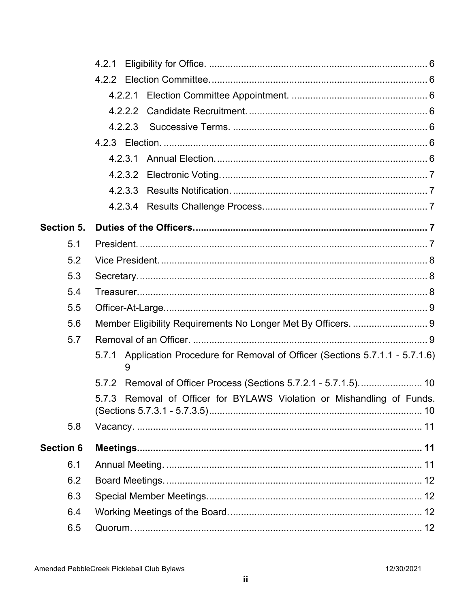|                  | 4.2.1                                                                                   |
|------------------|-----------------------------------------------------------------------------------------|
|                  |                                                                                         |
|                  | 4.2.2.1                                                                                 |
|                  | 4.2.2.2                                                                                 |
|                  | 4.2.2.3                                                                                 |
|                  |                                                                                         |
|                  | 4.2.3.1                                                                                 |
|                  | 4.2.3.2                                                                                 |
|                  | 4.2.3.3                                                                                 |
|                  | 4.2.3.4                                                                                 |
| Section 5.       |                                                                                         |
| 5.1              |                                                                                         |
| 5.2              |                                                                                         |
| 5.3              |                                                                                         |
| 5.4              |                                                                                         |
| 5.5              |                                                                                         |
| 5.6              | Member Eligibility Requirements No Longer Met By Officers.  9                           |
| 5.7              |                                                                                         |
|                  | Application Procedure for Removal of Officer (Sections 5.7.1.1 - 5.7.1.6)<br>5.7.1<br>9 |
|                  |                                                                                         |
|                  | 5.7.3 Removal of Officer for BYLAWS Violation or Mishandling of Funds.                  |
| 5.8              |                                                                                         |
| <b>Section 6</b> |                                                                                         |
| 6.1              |                                                                                         |
| 6.2              |                                                                                         |
| 6.3              |                                                                                         |
| 6.4              |                                                                                         |
| 6.5              |                                                                                         |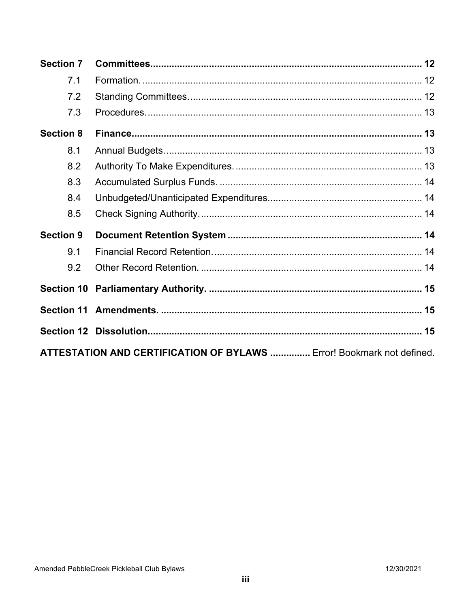| <b>Section 7</b>                                                             |  |  |  |
|------------------------------------------------------------------------------|--|--|--|
| 7.1                                                                          |  |  |  |
| 7.2                                                                          |  |  |  |
| 7.3                                                                          |  |  |  |
| <b>Section 8</b>                                                             |  |  |  |
| 8.1                                                                          |  |  |  |
| 8.2                                                                          |  |  |  |
| 8.3                                                                          |  |  |  |
| 8.4                                                                          |  |  |  |
| 8.5                                                                          |  |  |  |
| <b>Section 9</b>                                                             |  |  |  |
| 9.1                                                                          |  |  |  |
| 9.2                                                                          |  |  |  |
|                                                                              |  |  |  |
|                                                                              |  |  |  |
|                                                                              |  |  |  |
| <b>ATTESTATION AND CERTIFICATION OF BYLAWS </b> Error! Bookmark not defined. |  |  |  |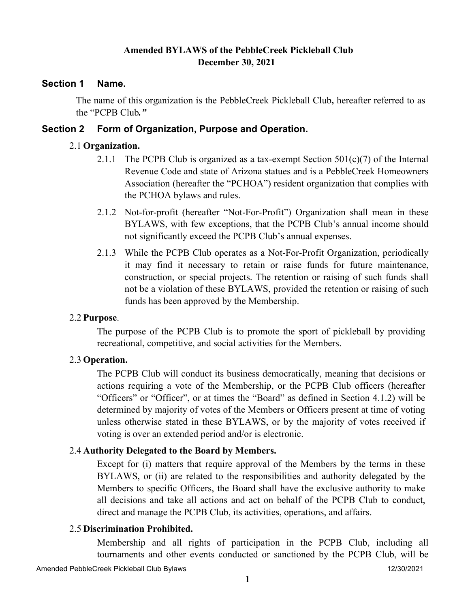# **Amended BYLAWS of the PebbleCreek Pickleball Club December 30, 2021**

### **Section 1 Name.**

The name of this organization is the PebbleCreek Pickleball Club**,** hereafter referred to as the "PCPB Club*."*

## **Section 2 Form of Organization, Purpose and Operation.**

### 2.1 **Organization.**

- 2.1.1 The PCPB Club is organized as a tax-exempt Section  $501(c)(7)$  of the Internal Revenue Code and state of Arizona statues and is a PebbleCreek Homeowners Association (hereafter the "PCHOA") resident organization that complies with the PCHOA bylaws and rules.
- 2.1.2 Not-for-profit (hereafter "Not-For-Profit") Organization shall mean in these BYLAWS, with few exceptions, that the PCPB Club's annual income should not significantly exceed the PCPB Club's annual expenses.
- 2.1.3 While the PCPB Club operates as a Not-For-Profit Organization, periodically it may find it necessary to retain or raise funds for future maintenance, construction, or special projects. The retention or raising of such funds shall not be a violation of these BYLAWS, provided the retention or raising of such funds has been approved by the Membership.

#### 2.2 **Purpose**.

The purpose of the PCPB Club is to promote the sport of pickleball by providing recreational, competitive, and social activities for the Members.

## 2.3 **Operation.**

The PCPB Club will conduct its business democratically, meaning that decisions or actions requiring a vote of the Membership, or the PCPB Club officers (hereafter "Officers" or "Officer", or at times the "Board" as defined in Section 4.1.2) will be determined by majority of votes of the Members or Officers present at time of voting unless otherwise stated in these BYLAWS, or by the majority of votes received if voting is over an extended period and/or is electronic.

#### 2.4 **Authority Delegated to the Board by Members.**

Except for (i) matters that require approval of the Members by the terms in these BYLAWS, or (ii) are related to the responsibilities and authority delegated by the Members to specific Officers, the Board shall have the exclusive authority to make all decisions and take all actions and act on behalf of the PCPB Club to conduct, direct and manage the PCPB Club, its activities, operations, and affairs.

#### 2.5 **Discrimination Prohibited.**

Membership and all rights of participation in the PCPB Club, including all tournaments and other events conducted or sanctioned by the PCPB Club, will be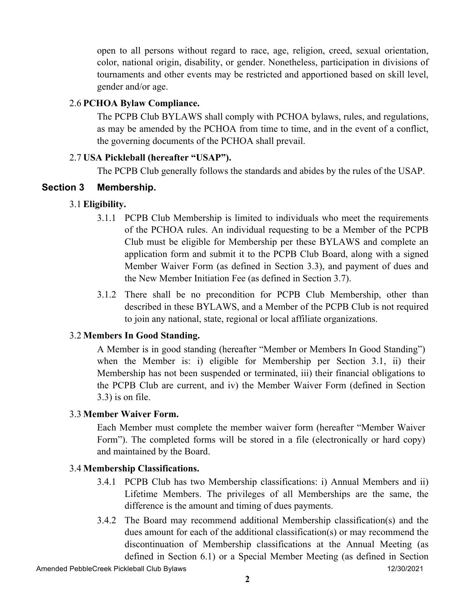open to all persons without regard to race, age, religion, creed, sexual orientation, color, national origin, disability, or gender. Nonetheless, participation in divisions of tournaments and other events may be restricted and apportioned based on skill level, gender and/or age.

# 2.6 **PCHOA Bylaw Compliance.**

The PCPB Club BYLAWS shall comply with PCHOA bylaws, rules, and regulations, as may be amended by the PCHOA from time to time, and in the event of a conflict, the governing documents of the PCHOA shall prevail.

# 2.7 **USA Pickleball (hereafter "USAP").**

The PCPB Club generally follows the standards and abides by the rules of the USAP.

# **Section 3 Membership.**

# 3.1 **Eligibility.**

- 3.1.1 PCPB Club Membership is limited to individuals who meet the requirements of the PCHOA rules. An individual requesting to be a Member of the PCPB Club must be eligible for Membership per these BYLAWS and complete an application form and submit it to the PCPB Club Board, along with a signed Member Waiver Form (as defined in Section 3.3), and payment of dues and the New Member Initiation Fee (as defined in Section 3.7).
- 3.1.2 There shall be no precondition for PCPB Club Membership, other than described in these BYLAWS, and a Member of the PCPB Club is not required to join any national, state, regional or local affiliate organizations.

# 3.2 **Members In Good Standing.**

A Member is in good standing (hereafter "Member or Members In Good Standing") when the Member is: i) eligible for Membership per Section 3.1, ii) their Membership has not been suspended or terminated, iii) their financial obligations to the PCPB Club are current, and iv) the Member Waiver Form (defined in Section 3.3) is on file.

# 3.3 **Member Waiver Form.**

Each Member must complete the member waiver form (hereafter "Member Waiver Form"). The completed forms will be stored in a file (electronically or hard copy) and maintained by the Board.

# 3.4 **Membership Classifications.**

- 3.4.1 PCPB Club has two Membership classifications: i) Annual Members and ii) Lifetime Members. The privileges of all Memberships are the same, the difference is the amount and timing of dues payments.
- 3.4.2 The Board may recommend additional Membership classification(s) and the dues amount for each of the additional classification(s) or may recommend the discontinuation of Membership classifications at the Annual Meeting (as defined in Section 6.1) or a Special Member Meeting (as defined in Section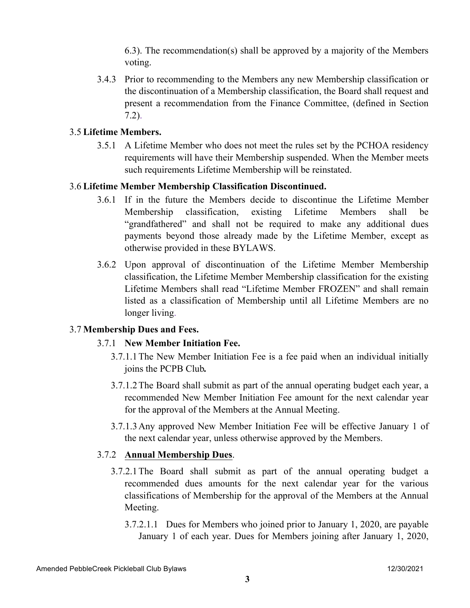6.3). The recommendation(s) shall be approved by a majority of the Members voting.

3.4.3 Prior to recommending to the Members any new Membership classification or the discontinuation of a Membership classification, the Board shall request and present a recommendation from the Finance Committee, (defined in Section 7.2).

### 3.5 **Lifetime Members.**

3.5.1 A Lifetime Member who does not meet the rules set by the PCHOA residency requirements will have their Membership suspended. When the Member meets such requirements Lifetime Membership will be reinstated.

### 3.6 **Lifetime Member Membership Classification Discontinued.**

- 3.6.1 If in the future the Members decide to discontinue the Lifetime Member Membership classification, existing Lifetime Members shall be "grandfathered" and shall not be required to make any additional dues payments beyond those already made by the Lifetime Member, except as otherwise provided in these BYLAWS.
- 3.6.2 Upon approval of discontinuation of the Lifetime Member Membership classification, the Lifetime Member Membership classification for the existing Lifetime Members shall read "Lifetime Member FROZEN" and shall remain listed as a classification of Membership until all Lifetime Members are no longer living.

## 3.7 **Membership Dues and Fees.**

#### 3.7.1 **New Member Initiation Fee.**

- 3.7.1.1The New Member Initiation Fee is a fee paid when an individual initially joins the PCPB Club*.*
- 3.7.1.2The Board shall submit as part of the annual operating budget each year, a recommended New Member Initiation Fee amount for the next calendar year for the approval of the Members at the Annual Meeting.
- 3.7.1.3Any approved New Member Initiation Fee will be effective January 1 of the next calendar year, unless otherwise approved by the Members.

#### 3.7.2 **Annual Membership Dues**.

- 3.7.2.1The Board shall submit as part of the annual operating budget a recommended dues amounts for the next calendar year for the various classifications of Membership for the approval of the Members at the Annual Meeting.
	- 3.7.2.1.1 Dues for Members who joined prior to January 1, 2020, are payable January 1 of each year. Dues for Members joining after January 1, 2020,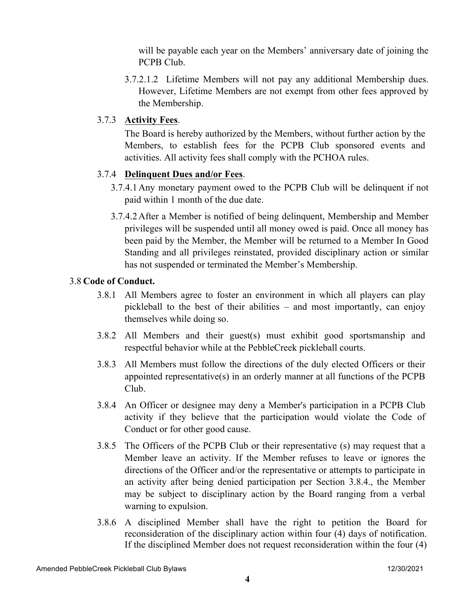will be payable each year on the Members' anniversary date of joining the PCPB Club.

3.7.2.1.2 Lifetime Members will not pay any additional Membership dues. However, Lifetime Members are not exempt from other fees approved by the Membership.

# 3.7.3 **Activity Fees**.

The Board is hereby authorized by the Members, without further action by the Members, to establish fees for the PCPB Club sponsored events and activities. All activity fees shall comply with the PCHOA rules.

# 3.7.4 **Delinquent Dues and/or Fees**.

- 3.7.4.1Any monetary payment owed to the PCPB Club will be delinquent if not paid within 1 month of the due date.
- 3.7.4.2After a Member is notified of being delinquent, Membership and Member privileges will be suspended until all money owed is paid. Once all money has been paid by the Member, the Member will be returned to a Member In Good Standing and all privileges reinstated, provided disciplinary action or similar has not suspended or terminated the Member's Membership.

# 3.8 **Code of Conduct.**

- 3.8.1 All Members agree to foster an environment in which all players can play pickleball to the best of their abilities – and most importantly, can enjoy themselves while doing so.
- 3.8.2 All Members and their guest(s) must exhibit good sportsmanship and respectful behavior while at the PebbleCreek pickleball courts.
- 3.8.3 All Members must follow the directions of the duly elected Officers or their appointed representative(s) in an orderly manner at all functions of the PCPB Club.
- 3.8.4 An Officer or designee may deny a Member's participation in a PCPB Club activity if they believe that the participation would violate the Code of Conduct or for other good cause.
- 3.8.5 The Officers of the PCPB Club or their representative (s) may request that a Member leave an activity. If the Member refuses to leave or ignores the directions of the Officer and/or the representative or attempts to participate in an activity after being denied participation per Section 3.8.4., the Member may be subject to disciplinary action by the Board ranging from a verbal warning to expulsion.
- 3.8.6 A disciplined Member shall have the right to petition the Board for reconsideration of the disciplinary action within four (4) days of notification. If the disciplined Member does not request reconsideration within the four (4)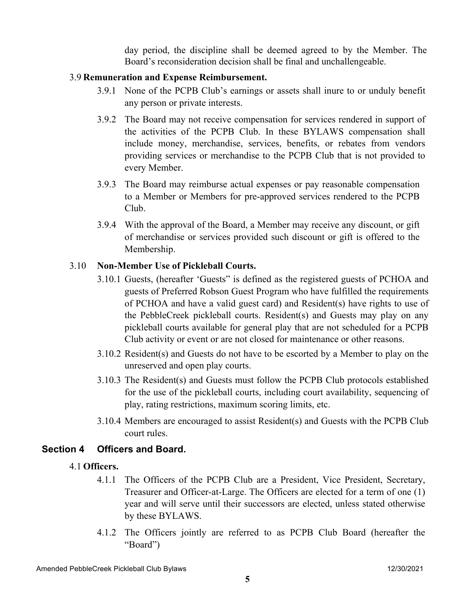day period, the discipline shall be deemed agreed to by the Member. The Board's reconsideration decision shall be final and unchallengeable.

### 3.9 **Remuneration and Expense Reimbursement.**

- 3.9.1 None of the PCPB Club's earnings or assets shall inure to or unduly benefit any person or private interests.
- 3.9.2 The Board may not receive compensation for services rendered in support of the activities of the PCPB Club. In these BYLAWS compensation shall include money, merchandise, services, benefits, or rebates from vendors providing services or merchandise to the PCPB Club that is not provided to every Member.
- 3.9.3 The Board may reimburse actual expenses or pay reasonable compensation to a Member or Members for pre-approved services rendered to the PCPB Club.
- 3.9.4 With the approval of the Board, a Member may receive any discount, or gift of merchandise or services provided such discount or gift is offered to the Membership.

## 3.10 **Non-Member Use of Pickleball Courts.**

- 3.10.1 Guests, (hereafter 'Guests" is defined as the registered guests of PCHOA and guests of Preferred Robson Guest Program who have fulfilled the requirements of PCHOA and have a valid guest card) and Resident(s) have rights to use of the PebbleCreek pickleball courts. Resident(s) and Guests may play on any pickleball courts available for general play that are not scheduled for a PCPB Club activity or event or are not closed for maintenance or other reasons.
- 3.10.2 Resident(s) and Guests do not have to be escorted by a Member to play on the unreserved and open play courts.
- 3.10.3 The Resident(s) and Guests must follow the PCPB Club protocols established for the use of the pickleball courts, including court availability, sequencing of play, rating restrictions, maximum scoring limits, etc.
- 3.10.4 Members are encouraged to assist Resident(s) and Guests with the PCPB Club court rules.

## **Section 4 Officers and Board.**

#### 4.1 **Officers.**

- 4.1.1 The Officers of the PCPB Club are a President, Vice President, Secretary, Treasurer and Officer-at-Large. The Officers are elected for a term of one (1) year and will serve until their successors are elected, unless stated otherwise by these BYLAWS.
- 4.1.2 The Officers jointly are referred to as PCPB Club Board (hereafter the "Board")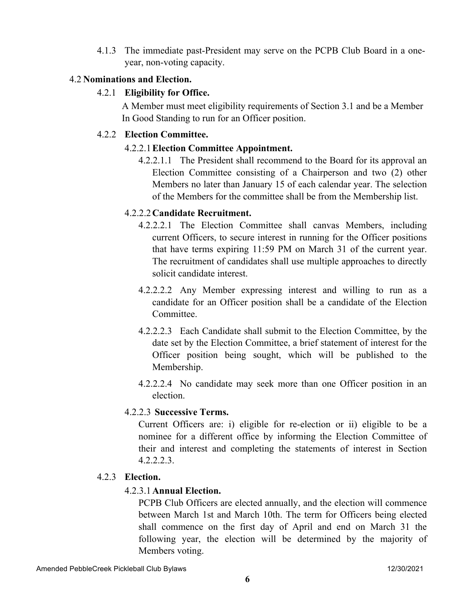4.1.3 The immediate past-President may serve on the PCPB Club Board in a oneyear, non-voting capacity.

### 4.2 **Nominations and Election.**

### 4.2.1 **Eligibility for Office.**

A Member must meet eligibility requirements of Section 3.1 and be a Member In Good Standing to run for an Officer position.

### 4.2.2 **Election Committee.**

### 4.2.2.1**Election Committee Appointment.**

4.2.2.1.1 The President shall recommend to the Board for its approval an Election Committee consisting of a Chairperson and two (2) other Members no later than January 15 of each calendar year. The selection of the Members for the committee shall be from the Membership list.

## 4.2.2.2**Candidate Recruitment.**

- 4.2.2.2.1 The Election Committee shall canvas Members, including current Officers, to secure interest in running for the Officer positions that have terms expiring 11:59 PM on March 31 of the current year. The recruitment of candidates shall use multiple approaches to directly solicit candidate interest.
- 4.2.2.2.2 Any Member expressing interest and willing to run as a candidate for an Officer position shall be a candidate of the Election **Committee**
- 4.2.2.2.3 Each Candidate shall submit to the Election Committee, by the date set by the Election Committee, a brief statement of interest for the Officer position being sought, which will be published to the Membership.
- 4.2.2.2.4 No candidate may seek more than one Officer position in an election.

## 4.2.2.3 **Successive Terms.**

Current Officers are: i) eligible for re-election or ii) eligible to be a nominee for a different office by informing the Election Committee of their and interest and completing the statements of interest in Section 4.2.2.2.3.

#### 4.2.3 **Election.**

## 4.2.3.1**Annual Election.**

PCPB Club Officers are elected annually, and the election will commence between March 1st and March 10th. The term for Officers being elected shall commence on the first day of April and end on March 31 the following year, the election will be determined by the majority of Members voting.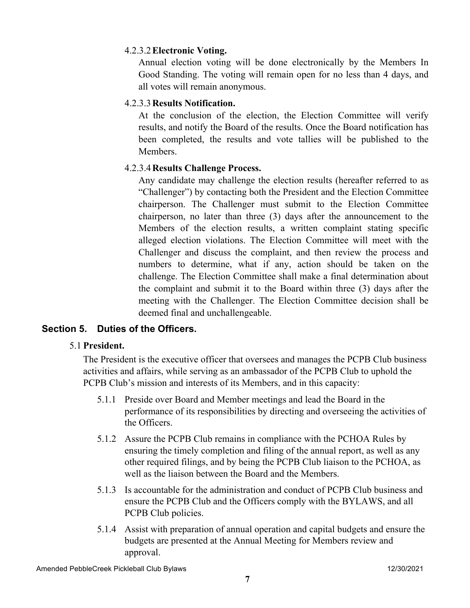## 4.2.3.2**Electronic Voting.**

Annual election voting will be done electronically by the Members In Good Standing. The voting will remain open for no less than 4 days, and all votes will remain anonymous.

# 4.2.3.3**Results Notification.**

At the conclusion of the election, the Election Committee will verify results, and notify the Board of the results. Once the Board notification has been completed, the results and vote tallies will be published to the Members.

# 4.2.3.4**Results Challenge Process.**

Any candidate may challenge the election results (hereafter referred to as "Challenger") by contacting both the President and the Election Committee chairperson. The Challenger must submit to the Election Committee chairperson, no later than three (3) days after the announcement to the Members of the election results, a written complaint stating specific alleged election violations. The Election Committee will meet with the Challenger and discuss the complaint, and then review the process and numbers to determine, what if any, action should be taken on the challenge. The Election Committee shall make a final determination about the complaint and submit it to the Board within three (3) days after the meeting with the Challenger. The Election Committee decision shall be deemed final and unchallengeable.

# **Section 5. Duties of the Officers.**

## 5.1 **President.**

The President is the executive officer that oversees and manages the PCPB Club business activities and affairs, while serving as an ambassador of the PCPB Club to uphold the PCPB Club's mission and interests of its Members, and in this capacity:

- 5.1.1 Preside over Board and Member meetings and lead the Board in the performance of its responsibilities by directing and overseeing the activities of the Officers.
- 5.1.2 Assure the PCPB Club remains in compliance with the PCHOA Rules by ensuring the timely completion and filing of the annual report, as well as any other required filings, and by being the PCPB Club liaison to the PCHOA, as well as the liaison between the Board and the Members.
- 5.1.3 Is accountable for the administration and conduct of PCPB Club business and ensure the PCPB Club and the Officers comply with the BYLAWS, and all PCPB Club policies.
- 5.1.4 Assist with preparation of annual operation and capital budgets and ensure the budgets are presented at the Annual Meeting for Members review and approval.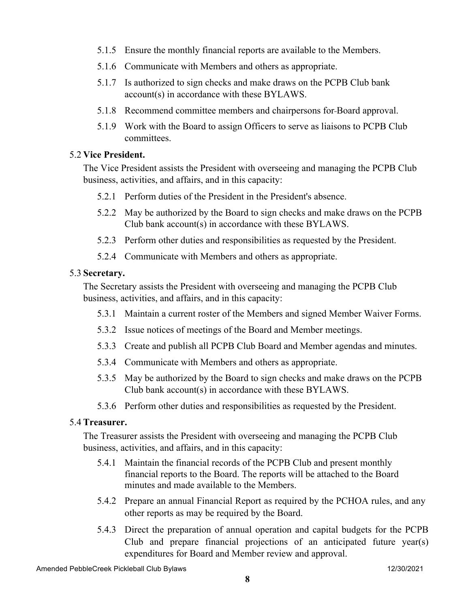- 5.1.5 Ensure the monthly financial reports are available to the Members.
- 5.1.6 Communicate with Members and others as appropriate.
- 5.1.7 Is authorized to sign checks and make draws on the PCPB Club bank account(s) in accordance with these BYLAWS.
- 5.1.8 Recommend committee members and chairpersons for Board approval.
- 5.1.9 Work with the Board to assign Officers to serve as liaisons to PCPB Club committees.

### 5.2 **Vice President.**

The Vice President assists the President with overseeing and managing the PCPB Club business, activities, and affairs, and in this capacity:

- 5.2.1 Perform duties of the President in the President's absence.
- 5.2.2 May be authorized by the Board to sign checks and make draws on the PCPB Club bank account(s) in accordance with these BYLAWS.
- 5.2.3 Perform other duties and responsibilities as requested by the President.
- 5.2.4 Communicate with Members and others as appropriate.

### 5.3 **Secretary.**

The Secretary assists the President with overseeing and managing the PCPB Club business, activities, and affairs, and in this capacity:

- 5.3.1 Maintain a current roster of the Members and signed Member Waiver Forms.
- 5.3.2 Issue notices of meetings of the Board and Member meetings.
- 5.3.3 Create and publish all PCPB Club Board and Member agendas and minutes.
- 5.3.4 Communicate with Members and others as appropriate.
- 5.3.5 May be authorized by the Board to sign checks and make draws on the PCPB Club bank account(s) in accordance with these BYLAWS.
- 5.3.6 Perform other duties and responsibilities as requested by the President.

## 5.4 **Treasurer.**

The Treasurer assists the President with overseeing and managing the PCPB Club business, activities, and affairs, and in this capacity:

- 5.4.1 Maintain the financial records of the PCPB Club and present monthly financial reports to the Board. The reports will be attached to the Board minutes and made available to the Members.
- 5.4.2 Prepare an annual Financial Report as required by the PCHOA rules, and any other reports as may be required by the Board.
- 5.4.3 Direct the preparation of annual operation and capital budgets for the PCPB Club and prepare financial projections of an anticipated future year(s) expenditures for Board and Member review and approval.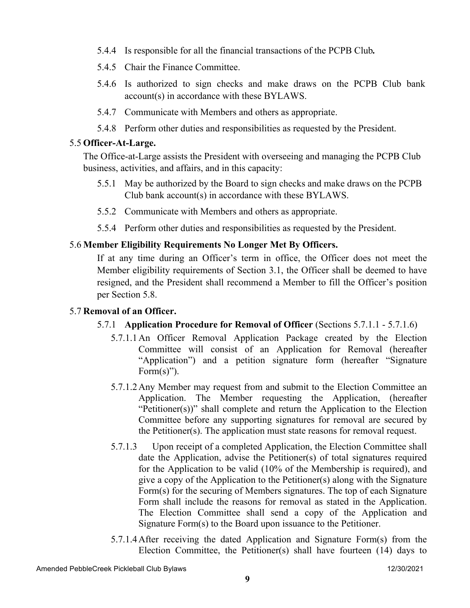- 5.4.4 Is responsible for all the financial transactions of the PCPB Club*.*
- 5.4.5 Chair the Finance Committee.
- 5.4.6 Is authorized to sign checks and make draws on the PCPB Club bank account(s) in accordance with these BYLAWS.
- 5.4.7 Communicate with Members and others as appropriate.
- 5.4.8 Perform other duties and responsibilities as requested by the President.

### 5.5 **Officer-At-Large.**

The Office-at-Large assists the President with overseeing and managing the PCPB Club business, activities, and affairs, and in this capacity:

- 5.5.1 May be authorized by the Board to sign checks and make draws on the PCPB Club bank account(s) in accordance with these BYLAWS.
- 5.5.2 Communicate with Members and others as appropriate.
- 5.5.4 Perform other duties and responsibilities as requested by the President.

## 5.6 **Member Eligibility Requirements No Longer Met By Officers.**

If at any time during an Officer's term in office, the Officer does not meet the Member eligibility requirements of Section 3.1, the Officer shall be deemed to have resigned, and the President shall recommend a Member to fill the Officer's position per Section 5.8.

## 5.7 **Removal of an Officer.**

- 5.7.1 **Application Procedure for Removal of Officer** (Sections 5.7.1.1 5.7.1.6)
	- 5.7.1.1An Officer Removal Application Package created by the Election Committee will consist of an Application for Removal (hereafter "Application") and a petition signature form (hereafter "Signature Form $(s)$ ").
	- 5.7.1.2Any Member may request from and submit to the Election Committee an Application. The Member requesting the Application, (hereafter "Petitioner(s))" shall complete and return the Application to the Election Committee before any supporting signatures for removal are secured by the Petitioner(s). The application must state reasons for removal request.
	- 5.7.1.3 Upon receipt of a completed Application, the Election Committee shall date the Application, advise the Petitioner(s) of total signatures required for the Application to be valid (10% of the Membership is required), and give a copy of the Application to the Petitioner(s) along with the Signature Form(s) for the securing of Members signatures. The top of each Signature Form shall include the reasons for removal as stated in the Application. The Election Committee shall send a copy of the Application and Signature Form(s) to the Board upon issuance to the Petitioner.
	- 5.7.1.4After receiving the dated Application and Signature Form(s) from the Election Committee, the Petitioner(s) shall have fourteen (14) days to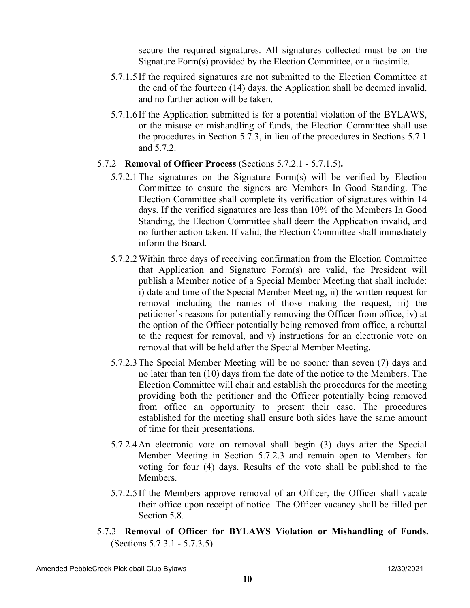secure the required signatures. All signatures collected must be on the Signature Form(s) provided by the Election Committee, or a facsimile.

- 5.7.1.5 If the required signatures are not submitted to the Election Committee at the end of the fourteen (14) days, the Application shall be deemed invalid, and no further action will be taken.
- 5.7.1.6 If the Application submitted is for a potential violation of the BYLAWS, or the misuse or mishandling of funds, the Election Committee shall use the procedures in Section 5.7.3, in lieu of the procedures in Sections 5.7.1 and 5.7.2.

#### 5.7.2 **Removal of Officer Process** (Sections 5.7.2.1 - 5.7.1.5)**.**

- 5.7.2.1The signatures on the Signature Form(s) will be verified by Election Committee to ensure the signers are Members In Good Standing. The Election Committee shall complete its verification of signatures within 14 days. If the verified signatures are less than 10% of the Members In Good Standing, the Election Committee shall deem the Application invalid, and no further action taken. If valid, the Election Committee shall immediately inform the Board.
- 5.7.2.2Within three days of receiving confirmation from the Election Committee that Application and Signature Form(s) are valid, the President will publish a Member notice of a Special Member Meeting that shall include: i) date and time of the Special Member Meeting, ii) the written request for removal including the names of those making the request, iii) the petitioner's reasons for potentially removing the Officer from office, iv) at the option of the Officer potentially being removed from office, a rebuttal to the request for removal, and v) instructions for an electronic vote on removal that will be held after the Special Member Meeting.
- 5.7.2.3The Special Member Meeting will be no sooner than seven (7) days and no later than ten (10) days from the date of the notice to the Members. The Election Committee will chair and establish the procedures for the meeting providing both the petitioner and the Officer potentially being removed from office an opportunity to present their case. The procedures established for the meeting shall ensure both sides have the same amount of time for their presentations.
- 5.7.2.4An electronic vote on removal shall begin (3) days after the Special Member Meeting in Section 5.7.2.3 and remain open to Members for voting for four (4) days. Results of the vote shall be published to the Members.
- 5.7.2.5 If the Members approve removal of an Officer, the Officer shall vacate their office upon receipt of notice. The Officer vacancy shall be filled per Section 5.8*.*
- 5.7.3 **Removal of Officer for BYLAWS Violation or Mishandling of Funds.** (Sections 5.7.3.1 - 5.7.3.5)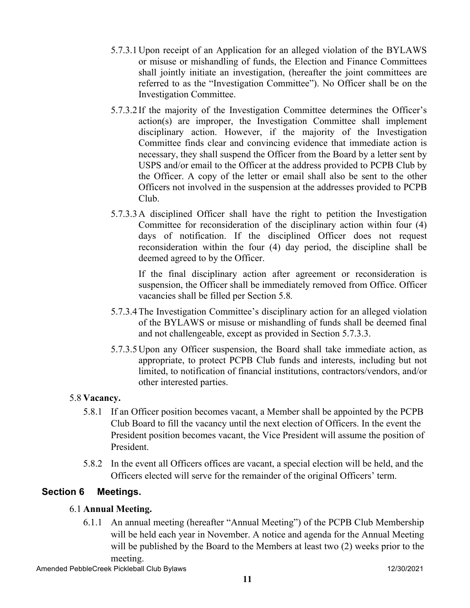- 5.7.3.1Upon receipt of an Application for an alleged violation of the BYLAWS or misuse or mishandling of funds, the Election and Finance Committees shall jointly initiate an investigation, (hereafter the joint committees are referred to as the "Investigation Committee"). No Officer shall be on the Investigation Committee.
- 5.7.3.2 If the majority of the Investigation Committee determines the Officer's action(s) are improper, the Investigation Committee shall implement disciplinary action. However, if the majority of the Investigation Committee finds clear and convincing evidence that immediate action is necessary, they shall suspend the Officer from the Board by a letter sent by USPS and/or email to the Officer at the address provided to PCPB Club by the Officer. A copy of the letter or email shall also be sent to the other Officers not involved in the suspension at the addresses provided to PCPB Club.
- 5.7.3.3A disciplined Officer shall have the right to petition the Investigation Committee for reconsideration of the disciplinary action within four (4) days of notification. If the disciplined Officer does not request reconsideration within the four (4) day period, the discipline shall be deemed agreed to by the Officer.

If the final disciplinary action after agreement or reconsideration is suspension, the Officer shall be immediately removed from Office. Officer vacancies shall be filled per Section 5.8*.*

- 5.7.3.4The Investigation Committee's disciplinary action for an alleged violation of the BYLAWS or misuse or mishandling of funds shall be deemed final and not challengeable, except as provided in Section 5.7.3.3.
- 5.7.3.5Upon any Officer suspension, the Board shall take immediate action, as appropriate, to protect PCPB Club funds and interests, including but not limited, to notification of financial institutions, contractors/vendors, and/or other interested parties.

## 5.8 **Vacancy.**

- 5.8.1 If an Officer position becomes vacant, a Member shall be appointed by the PCPB Club Board to fill the vacancy until the next election of Officers. In the event the President position becomes vacant, the Vice President will assume the position of President.
- 5.8.2 In the event all Officers offices are vacant, a special election will be held, and the Officers elected will serve for the remainder of the original Officers' term.

# **Section 6 Meetings.**

# 6.1 **Annual Meeting.**

6.1.1 An annual meeting (hereafter "Annual Meeting") of the PCPB Club Membership will be held each year in November. A notice and agenda for the Annual Meeting will be published by the Board to the Members at least two  $(2)$  weeks prior to the meeting.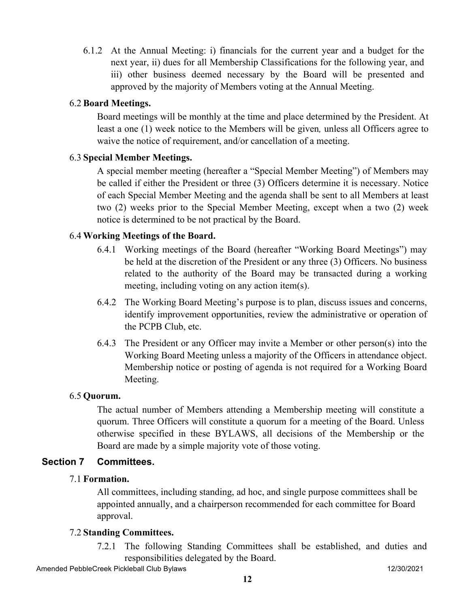6.1.2 At the Annual Meeting: i) financials for the current year and a budget for the next year, ii) dues for all Membership Classifications for the following year, and iii) other business deemed necessary by the Board will be presented and approved by the majority of Members voting at the Annual Meeting.

### 6.2 **Board Meetings.**

Board meetings will be monthly at the time and place determined by the President. At least a one (1) week notice to the Members will be given*,* unless all Officers agree to waive the notice of requirement, and/or cancellation of a meeting.

### 6.3 **Special Member Meetings.**

A special member meeting (hereafter a "Special Member Meeting") of Members may be called if either the President or three (3) Officers determine it is necessary. Notice of each Special Member Meeting and the agenda shall be sent to all Members at least two (2) weeks prior to the Special Member Meeting, except when a two (2) week notice is determined to be not practical by the Board.

### 6.4 **Working Meetings of the Board.**

- 6.4.1 Working meetings of the Board (hereafter "Working Board Meetings") may be held at the discretion of the President or any three (3) Officers. No business related to the authority of the Board may be transacted during a working meeting, including voting on any action item(s).
- 6.4.2 The Working Board Meeting's purpose is to plan, discuss issues and concerns, identify improvement opportunities, review the administrative or operation of the PCPB Club, etc.
- 6.4.3 The President or any Officer may invite a Member or other person(s) into the Working Board Meeting unless a majority of the Officers in attendance object. Membership notice or posting of agenda is not required for a Working Board Meeting.

#### 6.5 **Quorum.**

The actual number of Members attending a Membership meeting will constitute a quorum. Three Officers will constitute a quorum for a meeting of the Board. Unless otherwise specified in these BYLAWS, all decisions of the Membership or the Board are made by a simple majority vote of those voting.

#### **Section 7 Committees.**

#### 7.1 **Formation.**

All committees, including standing, ad hoc, and single purpose committees shall be appointed annually, and a chairperson recommended for each committee for Board approval.

#### 7.2 **Standing Committees.**

7.2.1 The following Standing Committees shall be established, and duties and responsibilities delegated by the Board.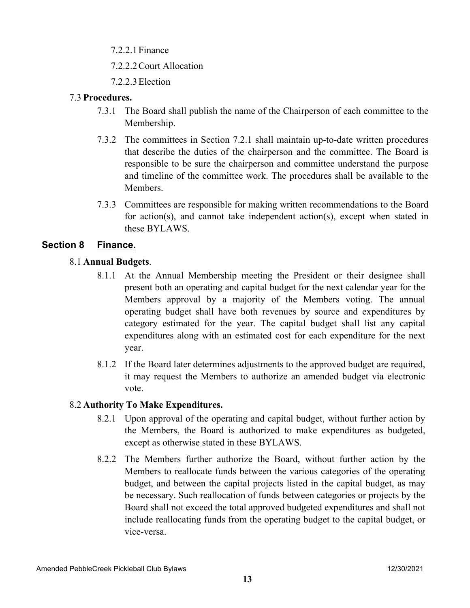7.2.2.1Finance

7.2.2.2Court Allocation

7.2.2.3Election

## 7.3 **Procedures.**

- 7.3.1 The Board shall publish the name of the Chairperson of each committee to the Membership.
- 7.3.2 The committees in Section 7.2.1 shall maintain up-to-date written procedures that describe the duties of the chairperson and the committee. The Board is responsible to be sure the chairperson and committee understand the purpose and timeline of the committee work. The procedures shall be available to the Members.
- 7.3.3 Committees are responsible for making written recommendations to the Board for action(s), and cannot take independent action(s), except when stated in these BYLAWS.

# **Section 8 Finance.**

## 8.1 **Annual Budgets**.

- 8.1.1 At the Annual Membership meeting the President or their designee shall present both an operating and capital budget for the next calendar year for the Members approval by a majority of the Members voting. The annual operating budget shall have both revenues by source and expenditures by category estimated for the year. The capital budget shall list any capital expenditures along with an estimated cost for each expenditure for the next year.
- 8.1.2 If the Board later determines adjustments to the approved budget are required, it may request the Members to authorize an amended budget via electronic vote.

## 8.2 **Authority To Make Expenditures.**

- 8.2.1 Upon approval of the operating and capital budget, without further action by the Members, the Board is authorized to make expenditures as budgeted, except as otherwise stated in these BYLAWS.
- 8.2.2 The Members further authorize the Board, without further action by the Members to reallocate funds between the various categories of the operating budget, and between the capital projects listed in the capital budget, as may be necessary. Such reallocation of funds between categories or projects by the Board shall not exceed the total approved budgeted expenditures and shall not include reallocating funds from the operating budget to the capital budget, or vice-versa.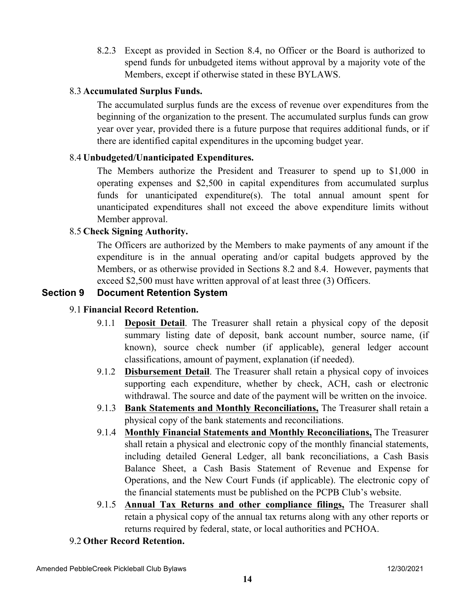8.2.3 Except as provided in Section 8.4, no Officer or the Board is authorized to spend funds for unbudgeted items without approval by a majority vote of the Members, except if otherwise stated in these BYLAWS.

### 8.3 **Accumulated Surplus Funds.**

The accumulated surplus funds are the excess of revenue over expenditures from the beginning of the organization to the present. The accumulated surplus funds can grow year over year, provided there is a future purpose that requires additional funds, or if there are identified capital expenditures in the upcoming budget year.

## 8.4 **Unbudgeted/Unanticipated Expenditures.**

The Members authorize the President and Treasurer to spend up to \$1,000 in operating expenses and \$2,500 in capital expenditures from accumulated surplus funds for unanticipated expenditure(s). The total annual amount spent for unanticipated expenditures shall not exceed the above expenditure limits without Member approval.

### 8.5 **Check Signing Authority.**

The Officers are authorized by the Members to make payments of any amount if the expenditure is in the annual operating and/or capital budgets approved by the Members, or as otherwise provided in Sections 8.2 and 8.4. However, payments that exceed \$2,500 must have written approval of at least three (3) Officers.

## **Section 9 Document Retention System**

## 9.1 **Financial Record Retention.**

- 9.1.1 **Deposit Detail**. The Treasurer shall retain a physical copy of the deposit summary listing date of deposit, bank account number, source name, (if known), source check number (if applicable), general ledger account classifications, amount of payment, explanation (if needed).
- 9.1.2 **Disbursement Detail**. The Treasurer shall retain a physical copy of invoices supporting each expenditure, whether by check, ACH, cash or electronic withdrawal. The source and date of the payment will be written on the invoice.
- 9.1.3 **Bank Statements and Monthly Reconciliations,** The Treasurer shall retain a physical copy of the bank statements and reconciliations.
- 9.1.4 **Monthly Financial Statements and Monthly Reconciliations,** The Treasurer shall retain a physical and electronic copy of the monthly financial statements, including detailed General Ledger, all bank reconciliations, a Cash Basis Balance Sheet, a Cash Basis Statement of Revenue and Expense for Operations, and the New Court Funds (if applicable). The electronic copy of the financial statements must be published on the PCPB Club's website.
- 9.1.5 **Annual Tax Returns and other compliance filings,** The Treasurer shall retain a physical copy of the annual tax returns along with any other reports or returns required by federal, state, or local authorities and PCHOA.

### 9.2 **Other Record Retention.**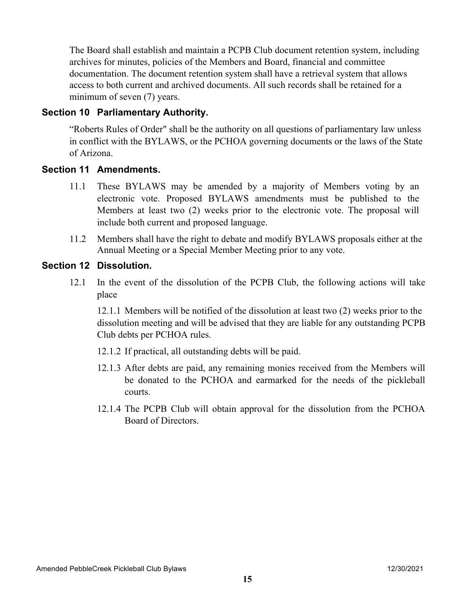The Board shall establish and maintain a PCPB Club document retention system, including archives for minutes, policies of the Members and Board, financial and committee documentation. The document retention system shall have a retrieval system that allows access to both current and archived documents. All such records shall be retained for a minimum of seven (7) years.

### **Section 10 Parliamentary Authority.**

"Roberts Rules of Order" shall be the authority on all questions of parliamentary law unless in conflict with the BYLAWS, or the PCHOA governing documents or the laws of the State of Arizona.

#### **Section 11 Amendments.**

- 11.1 These BYLAWS may be amended by a majority of Members voting by an electronic vote. Proposed BYLAWS amendments must be published to the Members at least two (2) weeks prior to the electronic vote. The proposal will include both current and proposed language.
- 11.2 Members shall have the right to debate and modify BYLAWS proposals either at the Annual Meeting or a Special Member Meeting prior to any vote.

### **Section 12 Dissolution.**

12.1 In the event of the dissolution of the PCPB Club, the following actions will take place

12.1.1 Members will be notified of the dissolution at least two (2) weeks prior to the dissolution meeting and will be advised that they are liable for any outstanding PCPB Club debts per PCHOA rules.

- 12.1.2 If practical, all outstanding debts will be paid.
- 12.1.3 After debts are paid, any remaining monies received from the Members will be donated to the PCHOA and earmarked for the needs of the pickleball courts.
- 12.1.4 The PCPB Club will obtain approval for the dissolution from the PCHOA Board of Directors.